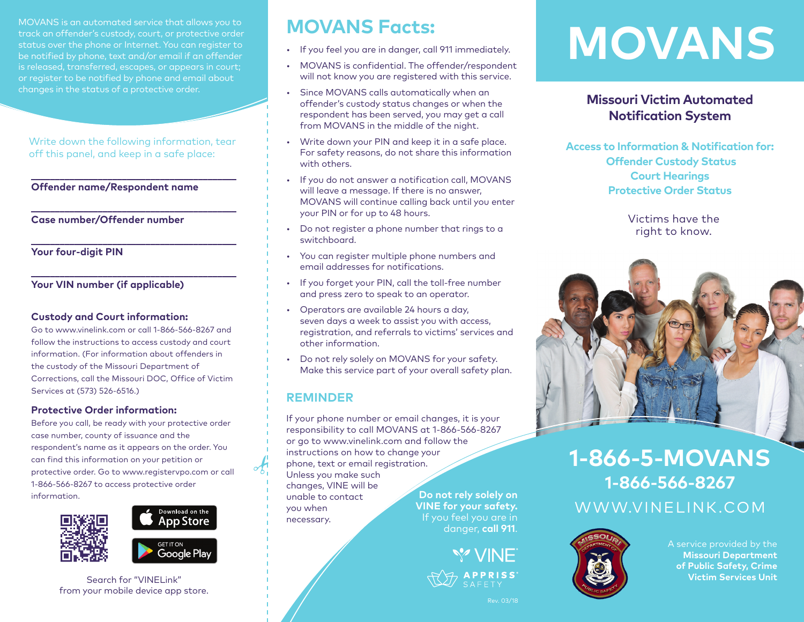MOVANS is an automated service that allows you to track an offender's custody, court, or protective order status over the phone or Internet. You can register to be notified by phone, text and/or email if an offender is released, transferred, escapes, or appears in court; or register to be notified by phone and email about changes in the status of a protective order.

Write down the following information, tear off this panel, and keep in a safe place:

**\_\_\_\_\_\_\_\_\_\_\_\_\_\_\_\_\_\_\_\_\_\_\_\_\_\_\_\_\_\_\_\_\_\_\_\_\_\_\_\_\_\_\_**

**\_\_\_\_\_\_\_\_\_\_\_\_\_\_\_\_\_\_\_\_\_\_\_\_\_\_\_\_\_\_\_\_\_\_\_\_\_\_\_\_\_\_\_**

**\_\_\_\_\_\_\_\_\_\_\_\_\_\_\_\_\_\_\_\_\_\_\_\_\_\_\_\_\_\_\_\_\_\_\_\_\_\_\_\_\_\_\_**

**\_\_\_\_\_\_\_\_\_\_\_\_\_\_\_\_\_\_\_\_\_\_\_\_\_\_\_\_\_\_\_\_\_\_\_\_\_\_\_\_\_\_\_**

# **Offender name/Respondent name**

**Case number/Offender number**

**Your four-digit PIN**

# **Your VIN number (if applicable)**

# **Custody and Court information:**

Go to www.vinelink.com or call 1-866-566-8267 and follow the instructions to access custody and court information. (For information about offenders in the custody of the Missouri Department of Corrections, call the Missouri DOC, Office of Victim Services at (573) 526-6516.)

### **Protective Order information:**

Before you call, be ready with your protective order case number, county of issuance and the respondent's name as it appears on the order. You can find this information on your petition or protective order. Go to [www.registervpo.com](http://www.registervpo.com) or call 1-866-566-8267 to access protective order information.



# Download on the **App Store GET IT ON Google Play**

Search for "VINELink" from your mobile device app store.

# **MOVANS Facts:**

- If you feel you are in danger, call 911 immediately.
- MOVANS is confidential. The offender/respondent will not know you are registered with this service.
- Since MOVANS calls automatically when an offender's custody status changes or when the respondent has been served, you may get a call from MOVANS in the middle of the night.
- Write down your PIN and keep it in a safe place. For safety reasons, do not share this information with others.
- If you do not answer a notification call, MOVANS will leave a message. If there is no answer, MOVANS will continue calling back until you enter your PIN or for up to 48 hours.
- Do not register a phone number that rings to a switchboard.
- You can register multiple phone numbers and email addresses for notifications.
- If you forget your PIN, call the toll-free number and press zero to speak to an operator.
- Operators are available 24 hours a day, seven days a week to assist you with access, registration, and referrals to victims' services and other information.
- Do not rely solely on MOVANS for your safety. Make this service part of your overall safety plan.

# **REMINDER**

If your phone number or email changes, it is your responsibility to call MOVANS at 1-866-566-8267 or go t[o www.vinelink.com](http://www.vinelink.com) and follow the instructions on how to change your phone, text or email registration. Unless you make such changes, VINE will be unable to contact you when necessary. **Do not rely solely on VINE for your safety.**

danger, **call 911**.





Rev. 03/18

# **MOVANS**

# **Missouri Victim Automated Notification System**

**Access to Information & Notification for: Offender Custody Status Court Hearings Protective Order Status**

> Victims have the right to know.



# [WWW.VINELINK.COM](http://www.vinelink.com) **1-866-5-MOVANS 1-866-566-8267**



A service provided by the **Missouri Department of Public Safety, Crime Victim Services Unit**